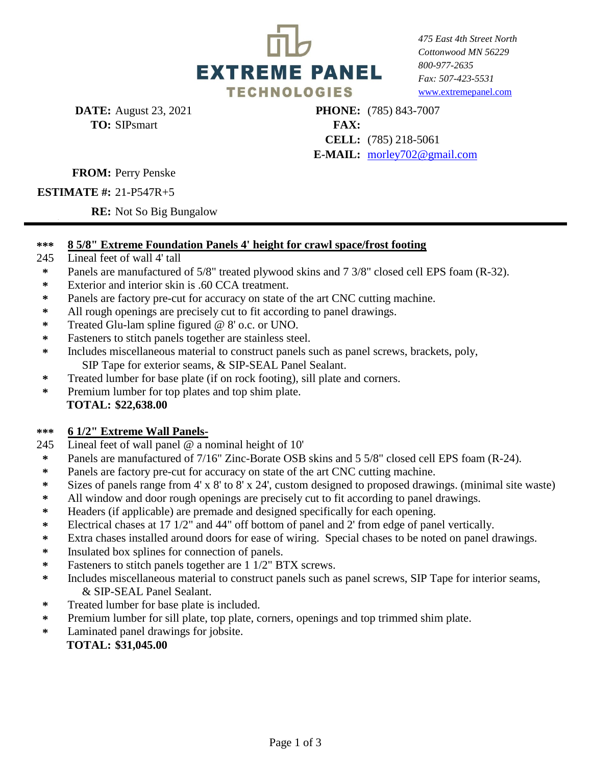

*475 East 4th Street North Cottonwood MN 56229 800-977-2635 Fax: 507-423-5531* [www.extrem](http://www.extremepanel.com/)epanel.com

**DATE:** August 23, 2021 **TO: FAX:**  SIPsmart

**CELL:**  (785) 218-5061 **E-MAIL:**  [morley702](mailto:morley702@gmail.com)@gmail.com **PHONE:** (785) 843-7007

### **FROM:** Perry Penske

## **ESTIMATE #:** 21-P547R+5

**RE:** Not So Big Bungalow

#### **\*\*\* 8 5/8" Extreme Foundation Panels 4' height for crawl space/frost footing**

- 245 Lineal feet of wall 4' tall
- **\*** Panels are manufactured of 5/8" treated plywood skins and 7 3/8" closed cell EPS foam (R-32).
- **\*** Exterior and interior skin is .60 CCA treatment.
- **\*** Panels are factory pre-cut for accuracy on state of the art CNC cutting machine.
- **\*** All rough openings are precisely cut to fit according to panel drawings.
- **\*** Treated Glu-lam spline figured @ 8' o.c. or UNO.
- **\*** Fasteners to stitch panels together are stainless steel.
- **\*** Includes miscellaneous material to construct panels such as panel screws, brackets, poly, SIP Tape for exterior seams, & SIP-SEAL Panel Sealant.
- **\*** Treated lumber for base plate (if on rock footing), sill plate and corners.
- **\*** . **TOTAL: \$22,638.00** Premium lumber for top plates and top shim plate.

#### **\*\*\* 6 1/2" Extreme Wall Panels-**

- 245 Lineal feet of wall panel @ a nominal height of 10'
- **\*** Panels are manufactured of 7/16" Zinc-Borate OSB skins and 5 5/8" closed cell EPS foam (R-24).
- **\*** Panels are factory pre-cut for accuracy on state of the art CNC cutting machine.
- **\*** Sizes of panels range from 4' x 8' to 8' x 24', custom designed to proposed drawings. (minimal site waste)
- **\*** All window and door rough openings are precisely cut to fit according to panel drawings.
- **\*** Headers (if applicable) are premade and designed specifically for each opening.
- **\*** Electrical chases at 17 1/2" and 44" off bottom of panel and 2' from edge of panel vertically.
- **\*** Extra chases installed around doors for ease of wiring. Special chases to be noted on panel drawings.
- **\*** Insulated box splines for connection of panels.
- **\*** Fasteners to stitch panels together are 1 1/2" BTX screws.
- **\*** Includes miscellaneous material to construct panels such as panel screws, SIP Tape for interior seams, & SIP-SEAL Panel Sealant.
- **\*** Treated lumber for base plate is included.
- **\*** Premium lumber for sill plate, top plate, corners, openings and top trimmed shim plate.
- **\*** Laminated panel drawings for jobsite.

### **\* TOTAL: \$31,045.00**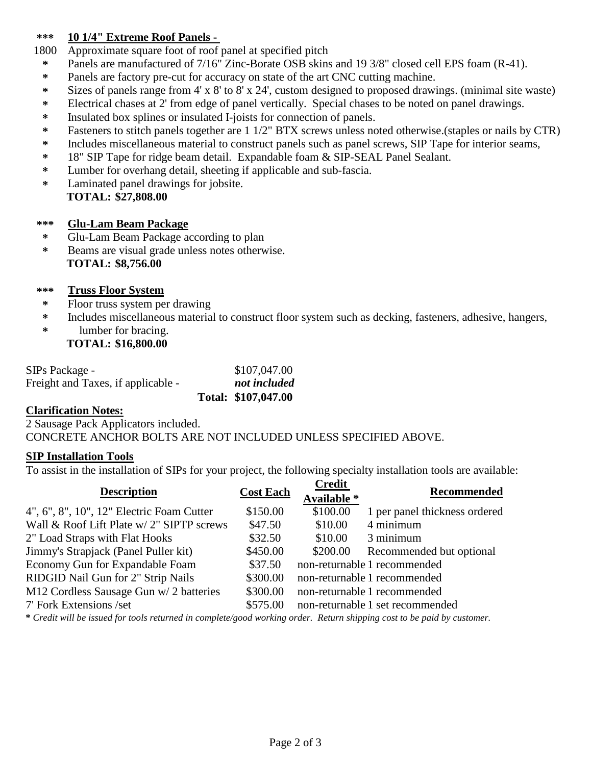#### **\*\*\* 10 1/4" Extreme Roof Panels -**

1800 Approximate square foot of roof panel at specified pitch

- **\*** Panels are manufactured of 7/16" Zinc-Borate OSB skins and 19 3/8" closed cell EPS foam (R-41).
- **\*** Panels are factory pre-cut for accuracy on state of the art CNC cutting machine.
- **\*** Sizes of panels range from 4' x 8' to 8' x 24', custom designed to proposed drawings. (minimal site waste)
- **\*** Electrical chases at 2' from edge of panel vertically. Special chases to be noted on panel drawings.
- **\*** Insulated box splines or insulated I-joists for connection of panels.
- **\*** Fasteners to stitch panels together are 1 1/2" BTX screws unless noted otherwise.(staples or nails by CTR)
- **\*** Includes miscellaneous material to construct panels such as panel screws, SIP Tape for interior seams,
- **\*** 18" SIP Tape for ridge beam detail. Expandable foam & SIP-SEAL Panel Sealant.
- **\*** Lumber for overhang detail, sheeting if applicable and sub-fascia.
- **\* \* TOTAL: \$27,808.00** Laminated panel drawings for jobsite.

#### **\*\*\* Glu-Lam Beam Package**

- **\*** Glu-Lam Beam Package according to plan
- **\* \* TOTAL: \$8,756.00** Beams are visual grade unless notes otherwise.

#### **\*\*\* Truss Floor System**

- **\*** Floor truss system per drawing
- **\*** Includes miscellaneous material to construct floor system such as decking, fasteners, adhesive, hangers,
- **\* \* TOTAL: \$16,800.00** lumber for bracing.

| SIPs Package -                     | \$107,047.00        |
|------------------------------------|---------------------|
| Freight and Taxes, if applicable - | not included        |
|                                    | Total: \$107,047.00 |

### **Clarification Notes:**

2 Sausage Pack Applicators included. \* CONCRETE ANCHOR BOLTS ARE NOT INCLUDED UNLESS SPECIFIED ABOVE.

### **SIP Installation Tools**

To assist in the installation of SIPs for your project, the following specialty installation tools are available:

| <b>Description</b>                        | <b>Cost Each</b> | <b>Credit</b><br>Available * | <b>Recommended</b>               |
|-------------------------------------------|------------------|------------------------------|----------------------------------|
| 4", 6", 8", 10", 12" Electric Foam Cutter | \$150.00         | \$100.00                     | 1 per panel thickness ordered    |
| Wall & Roof Lift Plate w/ 2" SIPTP screws | \$47.50          | \$10.00                      | 4 minimum                        |
| 2" Load Straps with Flat Hooks            | \$32.50          | \$10.00                      | 3 minimum                        |
| Jimmy's Strapjack (Panel Puller kit)      | \$450.00         | \$200.00                     | Recommended but optional         |
| Economy Gun for Expandable Foam           | \$37.50          |                              | non-returnable 1 recommended     |
| RIDGID Nail Gun for 2" Strip Nails        | \$300.00         |                              | non-returnable 1 recommended     |
| M12 Cordless Sausage Gun w/ 2 batteries   | \$300.00         |                              | non-returnable 1 recommended     |
| 7' Fork Extensions /set                   | \$575.00         |                              | non-returnable 1 set recommended |

**\*** *Credit will be issued for tools returned in complete/good working order. Return shipping cost to be paid by customer.*